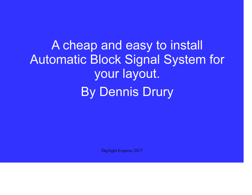A cheap and easy to install Automatic Block Signal System for your layout.By Dennis Drury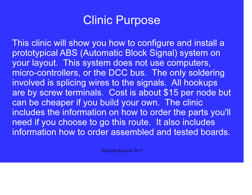

This clinic will show you how to configure and install a prototypical ABS (Automatic Block Signal) system onyour layout. This system does not use computers, micro-controllers, or the DCC bus. The only soldering involved is splicing wires to the signals. All hookups are by screw terminals. Cost is about \$15 per node but can be cheaper if you build your own. The clinic includes the information on how to order the parts you'll need if you choose to go this route. It also includes information how to order assembled and tested boards.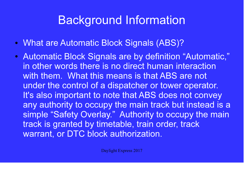# Background Information

- What are Automatic Block Signals (ABS)?
- Automatic Block Signals are by definition "Automatic," in other words there is no direct human interaction with them. What this means is that ABS are not under the control of a dispatcher or tower operator. It's also important to note that ABS does not convey any authority to occupy the main track but instead is a simple "Safety Overlay." Authority to occupy the main track is granted by timetable, train order, track warrant, or DTC block authorization.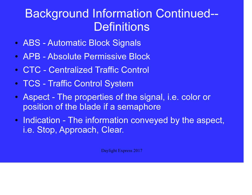# Background Information Continued--**Definitions**

- ABS Automatic Block Signals
- APB Absolute Permissive Block
- $\bullet$ CTC - Centralized Traffic Control
- TCS Traffic Control System
- Aspect The properties of the signal, i.e. color or position of the blade if a semaphore
- Indication The information conveyed by the aspect, i.e. Stop, Approach, Clear.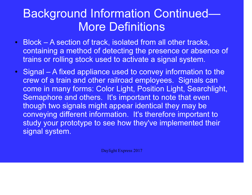# Background Information Continued—More Definitions

- $\bullet$  Block – A section of track, isolated from all other tracks, containing a method of detecting the presence or absence of trains or rolling stock used to activate a signal system.
- Signal A fixed appliance used to convey information to the crew of a train and other railroad employees. Signals can come in many forms: Color Light, Position Light, Searchlight, Semaphore and others. It's important to note that even though two signals might appear identical they may be conveying different information. It's therefore important to study your prototype to see how they've implemented their signal system.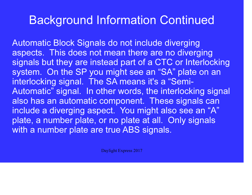## Background Information Continued

Automatic Block Signals do not include diverging aspects. This does not mean there are no diverging signals but they are instead part of a CTC or Interlocking system. On the SP you might see an "SA" plate on an interlocking signal. The SA means it's a "Semi-Automatic" signal. In other words, the interlocking signal also has an automatic component. These signals can include a diverging aspect. You might also see an "A" plate, a number plate, or no plate at all. Only signals with a number plate are true ABS signals.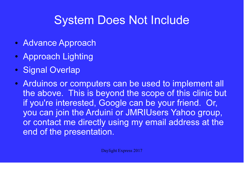# System Does Not Include

- Advance Approach
- Approach Lighting
- $\bullet$ Signal Overlap
- Arduinos or computers can be used to implement all the above. This is beyond the scope of this clinic but if you're interested, Google can be your friend. Or, you can join the Arduini or JMRIUsers Yahoo group, or contact me directly using my email address at the end of the presentation.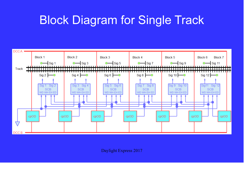# Block Diagram for Single Track

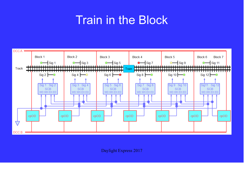## Train in the Block

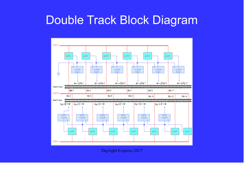### Double Track Block Diagram

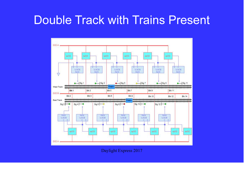### Double Track with Trains Present

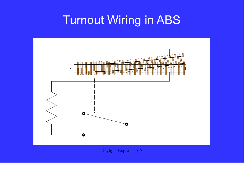# Turnout Wiring in ABS

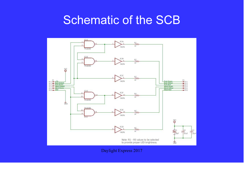## Schematic of the SCB

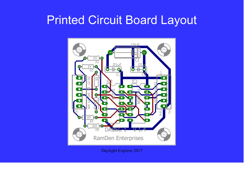## Printed Circuit Board Layout

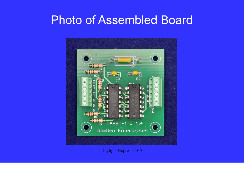### Photo of Assembled Board

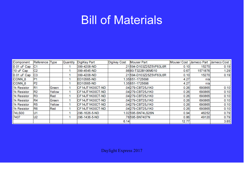### Bill of Materials

| Component         | Reference      | <b>Type</b> | Quantity | DigiKey Part    | <b>Digikey Cost</b> | <b>Mouser Part</b>      | <b>Mouser Cost</b> | Jameco Part | Jameco Cost |
|-------------------|----------------|-------------|----------|-----------------|---------------------|-------------------------|--------------------|-------------|-------------|
| 0.01 uF Cap       | C1             |             |          | 399-4208-ND     |                     | .21594-D103Z25Z5VF63L6R | 0.10               | 15270       | 0.19        |
| 10 uF Cap         | C <sub>2</sub> |             |          | 399-4545-ND     |                     | .9880-T322B106M010      | 0.67               | 1571876     | 1.29        |
| $0.01$ uF Cap     | C <sub>3</sub> |             |          | 399-4208-ND     |                     | .21594-D103Z25Z5VF63L6R | 0.10               | 15270       | 0.19        |
| CONN <sub>6</sub> | P <sub>1</sub> |             |          | ED10565-ND      |                     | 1.35651-1725698         | 4.27               | n/a         |             |
| CONN <sub>6</sub> | P <sub>2</sub> |             |          | ED10565-ND      |                     | 1.35651-1725698         | 4.27               | n/a         |             |
| 1k Resistor       | R <sub>1</sub> | Green       |          | CF14JT1K00CT-ND |                     | .04279-CBT25J1K0        | 0.26               | 690865      | 0.10        |
| 1k Resistor       | R <sub>2</sub> | Yellow      |          | CF14JT1K00CT-ND |                     | .04279-CBT25J1K0        | 0.26               | 690865      | 0.10        |
| 1k Resistor       | R <sub>3</sub> | Red         |          | CF14JT1K00CT-ND |                     | .04279-CBT25J1K0        | 0.26               | 690865      | 0.10        |
| 1k Resistor       | R4             | Green       |          | CF14JT1K00CT-ND |                     | .04279-CBT25J1K0        | 0.26               | 690865      | 0.10        |
| 1k Resistor       | R5             | Yellow      |          | CF14JT1K00CT-ND |                     | .04279-CBT25J1K0        | 0.26               | 690865      | 0.10        |
| 1k Resistor       | R <sub>6</sub> | Red         |          | CF14JT1K00CT-ND |                     | .04279-CBT25J1K0        | 0.26               | 690865      | 0.10        |
| 74LS00            | U1             |             |          | 296-1626-5-ND   |                     | 1.02595-SN74LS26N       | 0.94               | 46252       | 0.79        |
| 7407              | U <sub>2</sub> |             |          | 296-1436-5-ND   |                     | .78595-SN7407N          | 0.86               | 49120       | 0.79        |
|                   |                |             |          |                 | 6.14                |                         | 12.77              |             | 3.85        |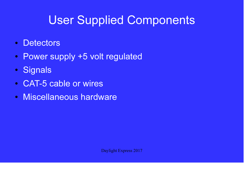# User Supplied Components

- $\bullet$ **Detectors**
- $\bullet$ Power supply +5 volt regulated
- $\bullet$ **Signals**
- ●CAT-5 cable or wires
- $\bullet$ Miscellaneous hardware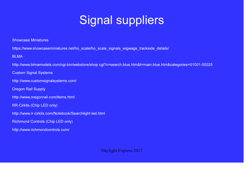# Signal suppliers

Showcase Miniatures

https://www.showcaseminiatures.net/ho\_scale/ho\_scale\_signals\_wigwags\_trackside\_details/

BLMA

http://www.blmamodels.com/cgi-bin/webstore/shop.cgi?c=search.blue.htm&t=main.blue.htm&categories=01001-00025

Custom Signal Systems

http://www.customsignalsystems.com/

Oregon Rail Supply

http://www.oregonrail.com/items.html

RR-Cirkits (Chip LED only)

http://www.rr-cirkits.com/Notebook/Searchlight-led.html

Richmond Controls (Chip LED only)

http://www.richmondcontrols.com/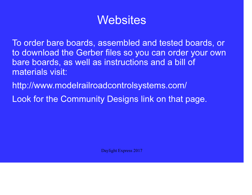### **Websites**

To order bare boards, assembled and tested boards, or to download the Gerber files so you can order your own bare boards, as well as instructions and a bill of materials visit:

http://www.modelrailroadcontrolsystems.com/

Look for the Community Designs link on that page.